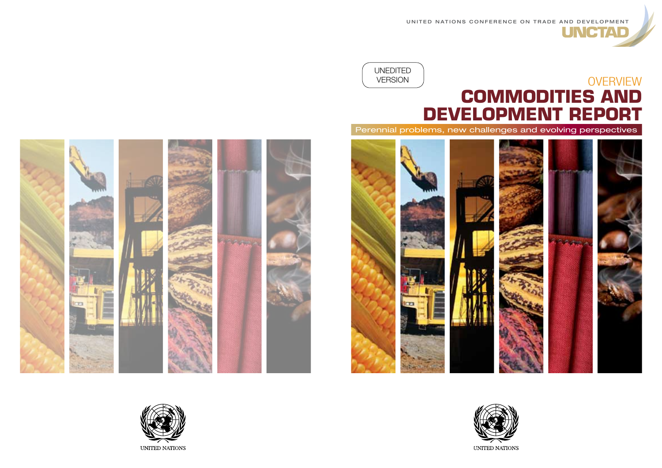UNITED NATIONS CONFERENCE ON TRADE AND DEVELOPMENT

**JNCTAD** 

### **UNEDITED VERSION OVERVIEW COMMODITIES AND DEVELOPMENT REPORT** Perennial problems, new challenges and evolving perspectives



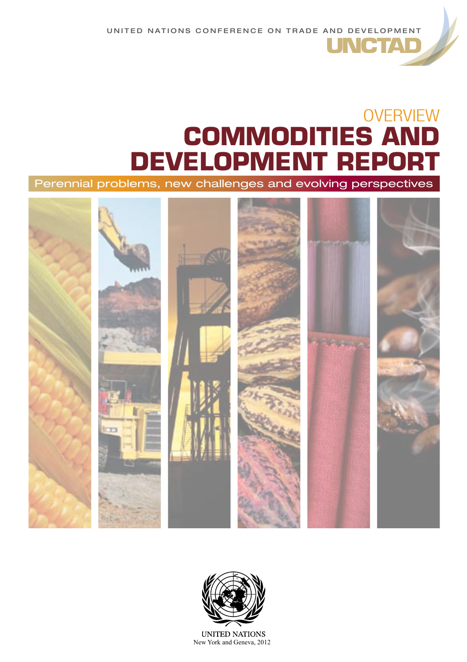UNITED NATIONS CONFERENCE ON TRADE AND DEVELOPMENT

# **OVERVIEW COMMODITIES AND DEVELOPMENT REPORT**

**INCTA** 

Perennial problems, new challenges and evolving perspectives





**UNITED NATIONS** New York and Geneva, 2012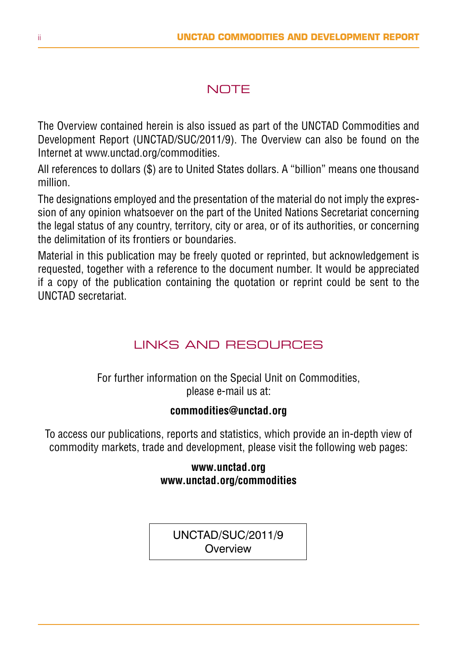### **NOTE**

The Overview contained herein is also issued as part of the UNCTAD Commodities and Development Report (UNCTAD/SUC/2011/9). The Overview can also be found on the Internet at www.unctad.org/commodities.

All references to dollars (\$) are to United States dollars. A "billion" means one thousand million.

The designations employed and the presentation of the material do not imply the expression of any opinion whatsoever on the part of the United Nations Secretariat concerning the legal status of any country, territory, city or area, or of its authorities, or concerning the delimitation of its frontiers or boundaries.

Material in this publication may be freely quoted or reprinted, but acknowledgement is requested, together with a reference to the document number. It would be appreciated if a copy of the publication containing the quotation or reprint could be sent to the UNCTAD secretariat.

### LINKS AND RESOLIBCES

For further information on the Special Unit on Commodities, please e-mail us at:

#### **commodities@unctad.org**

To access our publications, reports and statistics, which provide an in-depth view of commodity markets, trade and development, please visit the following web pages:

#### **www.unctad.org www.unctad.org/commodities**

unctad/SUC/2011/9 **Overview**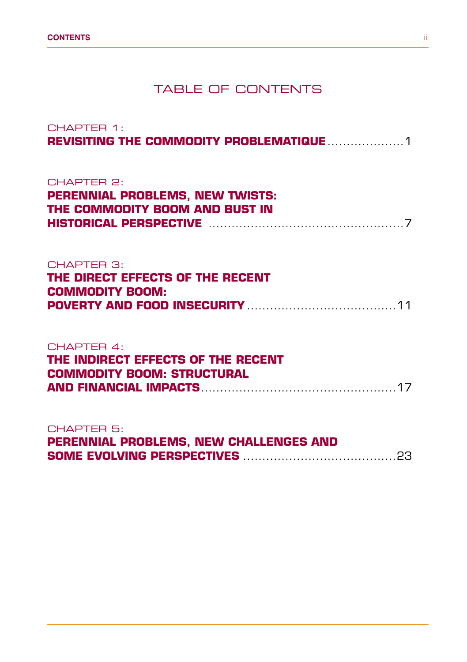### TABLE OF CONTENTS

| CHAPTER 1:                                                                                                                                                                                               |
|----------------------------------------------------------------------------------------------------------------------------------------------------------------------------------------------------------|
| CHAPTER 2:<br><b>PERENNIAL PROBLEMS, NEW TWISTS:</b><br>THE COMMODITY BOOM AND BUST IN<br><b>HISTORICAL PERSPECTIVE MARKET AND RESIDENT ASSESSED ASSESSED AT A STATE AND RESIDENT ASSESSED ASSOCIATE</b> |
| CHAPTER 3:<br>THE DIRECT EFFECTS OF THE RECENT<br><b>COMMODITY BOOM:</b>                                                                                                                                 |
| CHAPTER 4:<br>THE INDIRECT EFFECTS OF THE RECENT<br><b>COMMODITY BOOM: STRUCTURAL</b>                                                                                                                    |
| CHAPTER <sub>5</sub> :<br>PERENNIAL PROBLEMS, NEW CHALLENGES AND                                                                                                                                         |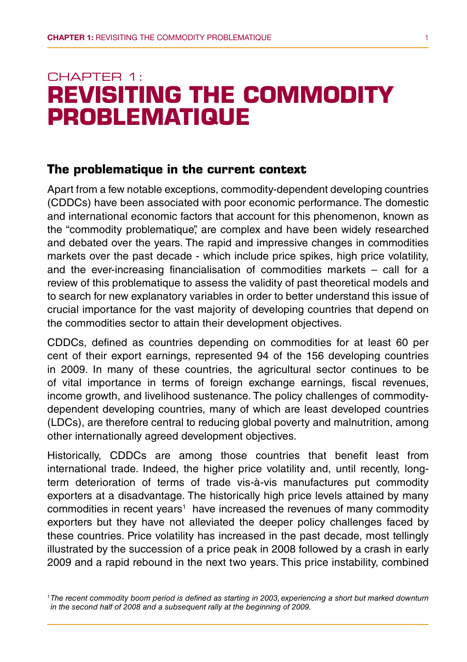### CHAPTER 1: **Revisiting the commodity problematique**

#### **The problematique in the current context**

Apart from a few notable exceptions, commodity-dependent developing countries (CDDCs) have been associated with poor economic performance. The domestic and international economic factors that account for this phenomenon, known as the "commodity problematique", are complex and have been widely researched and debated over the years. The rapid and impressive changes in commodities markets over the past decade - which include price spikes, high price volatility, and the ever-increasing financialisation of commodities markets – call for a review of this problematique to assess the validity of past theoretical models and to search for new explanatory variables in order to better understand this issue of crucial importance for the vast majority of developing countries that depend on the commodities sector to attain their development objectives.

CDDCs, defined as countries depending on commodities for at least 60 per cent of their export earnings, represented 94 of the 156 developing countries in 2009. In many of these countries, the agricultural sector continues to be of vital importance in terms of foreign exchange earnings, fiscal revenues, income growth, and livelihood sustenance. The policy challenges of commoditydependent developing countries, many of which are least developed countries (LDCs), are therefore central to reducing global poverty and malnutrition, among other internationally agreed development objectives.

Historically, CDDCs are among those countries that benefit least from international trade. Indeed, the higher price volatility and, until recently, longterm deterioration of terms of trade vis-à-vis manufactures put commodity exporters at a disadvantage. The historically high price levels attained by many commodities in recent years<sup>1</sup> have increased the revenues of many commodity exporters but they have not alleviated the deeper policy challenges faced by these countries. Price volatility has increased in the past decade, most tellingly illustrated by the succession of a price peak in 2008 followed by a crash in early 2009 and a rapid rebound in the next two years. This price instability, combined

*<sup>1</sup> The recent commodity boom period is defined as starting in 2003, experiencing a short but marked downturn in the second half of 2008 and a subsequent rally at the beginning of 2009.*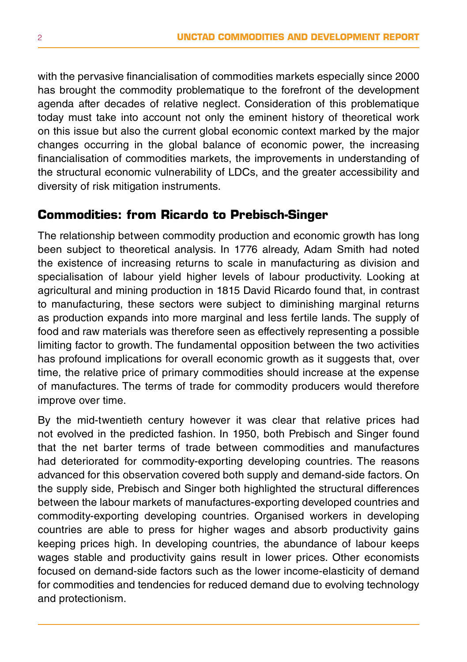with the pervasive financialisation of commodities markets especially since 2000 has brought the commodity problematique to the forefront of the development agenda after decades of relative neglect. Consideration of this problematique today must take into account not only the eminent history of theoretical work on this issue but also the current global economic context marked by the major changes occurring in the global balance of economic power, the increasing financialisation of commodities markets, the improvements in understanding of the structural economic vulnerability of LDCs, and the greater accessibility and diversity of risk mitigation instruments.

#### **Commodities: from Ricardo to Prebisch-Singer**

The relationship between commodity production and economic growth has long been subject to theoretical analysis. In 1776 already, Adam Smith had noted the existence of increasing returns to scale in manufacturing as division and specialisation of labour yield higher levels of labour productivity. Looking at agricultural and mining production in 1815 David Ricardo found that, in contrast to manufacturing, these sectors were subject to diminishing marginal returns as production expands into more marginal and less fertile lands. The supply of food and raw materials was therefore seen as effectively representing a possible limiting factor to growth. The fundamental opposition between the two activities has profound implications for overall economic growth as it suggests that, over time, the relative price of primary commodities should increase at the expense of manufactures. The terms of trade for commodity producers would therefore improve over time.

By the mid-twentieth century however it was clear that relative prices had not evolved in the predicted fashion. In 1950, both Prebisch and Singer found that the net barter terms of trade between commodities and manufactures had deteriorated for commodity-exporting developing countries. The reasons advanced for this observation covered both supply and demand-side factors. On the supply side, Prebisch and Singer both highlighted the structural differences between the labour markets of manufactures-exporting developed countries and commodity-exporting developing countries. Organised workers in developing countries are able to press for higher wages and absorb productivity gains keeping prices high. In developing countries, the abundance of labour keeps wages stable and productivity gains result in lower prices. Other economists focused on demand-side factors such as the lower income-elasticity of demand for commodities and tendencies for reduced demand due to evolving technology and protectionism.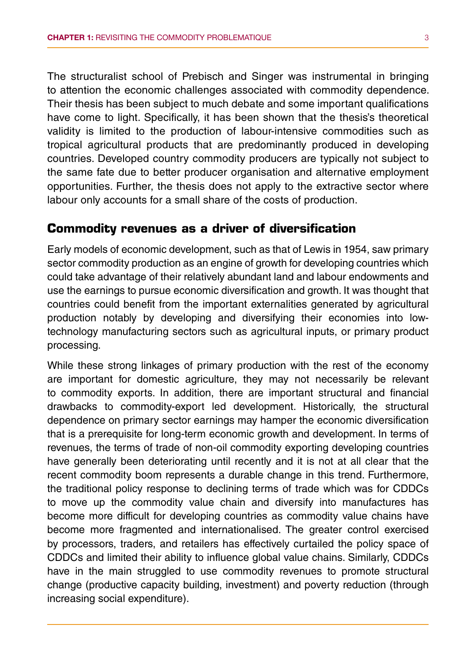The structuralist school of Prebisch and Singer was instrumental in bringing to attention the economic challenges associated with commodity dependence. Their thesis has been subject to much debate and some important qualifications have come to light. Specifically, it has been shown that the thesis's theoretical validity is limited to the production of labour-intensive commodities such as tropical agricultural products that are predominantly produced in developing countries. Developed country commodity producers are typically not subject to the same fate due to better producer organisation and alternative employment opportunities. Further, the thesis does not apply to the extractive sector where labour only accounts for a small share of the costs of production.

#### **Commodity revenues as a driver of diversification**

Early models of economic development, such as that of Lewis in 1954, saw primary sector commodity production as an engine of growth for developing countries which could take advantage of their relatively abundant land and labour endowments and use the earnings to pursue economic diversification and growth. It was thought that countries could benefit from the important externalities generated by agricultural production notably by developing and diversifying their economies into lowtechnology manufacturing sectors such as agricultural inputs, or primary product processing.

While these strong linkages of primary production with the rest of the economy are important for domestic agriculture, they may not necessarily be relevant to commodity exports. In addition, there are important structural and financial drawbacks to commodity-export led development. Historically, the structural dependence on primary sector earnings may hamper the economic diversification that is a prerequisite for long-term economic growth and development. In terms of revenues, the terms of trade of non-oil commodity exporting developing countries have generally been deteriorating until recently and it is not at all clear that the recent commodity boom represents a durable change in this trend. Furthermore, the traditional policy response to declining terms of trade which was for CDDCs to move up the commodity value chain and diversify into manufactures has become more difficult for developing countries as commodity value chains have become more fragmented and internationalised. The greater control exercised by processors, traders, and retailers has effectively curtailed the policy space of CDDCs and limited their ability to influence global value chains. Similarly, CDDCs have in the main struggled to use commodity revenues to promote structural change (productive capacity building, investment) and poverty reduction (through increasing social expenditure).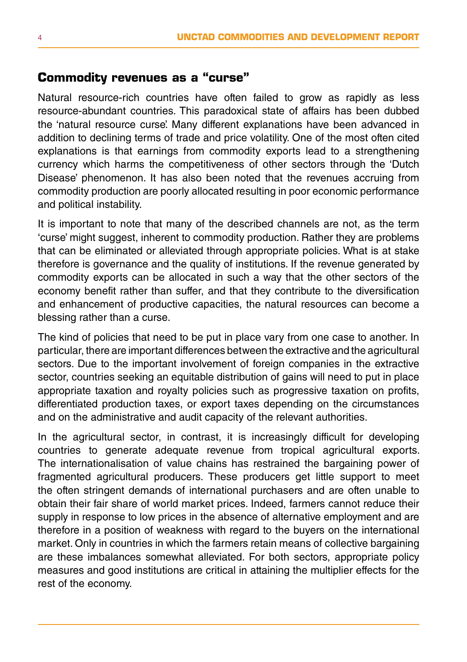#### **Commodity revenues as a "curse"**

Natural resource-rich countries have often failed to grow as rapidly as less resource-abundant countries. This paradoxical state of affairs has been dubbed the 'natural resource curse'. Many different explanations have been advanced in addition to declining terms of trade and price volatility. One of the most often cited explanations is that earnings from commodity exports lead to a strengthening currency which harms the competitiveness of other sectors through the 'Dutch Disease' phenomenon. It has also been noted that the revenues accruing from commodity production are poorly allocated resulting in poor economic performance and political instability.

It is important to note that many of the described channels are not, as the term 'curse' might suggest, inherent to commodity production. Rather they are problems that can be eliminated or alleviated through appropriate policies. What is at stake therefore is governance and the quality of institutions. If the revenue generated by commodity exports can be allocated in such a way that the other sectors of the economy benefit rather than suffer, and that they contribute to the diversification and enhancement of productive capacities, the natural resources can become a blessing rather than a curse.

The kind of policies that need to be put in place vary from one case to another. In particular, there are important differences between the extractive and the agricultural sectors. Due to the important involvement of foreign companies in the extractive sector, countries seeking an equitable distribution of gains will need to put in place appropriate taxation and royalty policies such as progressive taxation on profits, differentiated production taxes, or export taxes depending on the circumstances and on the administrative and audit capacity of the relevant authorities.

In the agricultural sector, in contrast, it is increasingly difficult for developing countries to generate adequate revenue from tropical agricultural exports. The internationalisation of value chains has restrained the bargaining power of fragmented agricultural producers. These producers get little support to meet the often stringent demands of international purchasers and are often unable to obtain their fair share of world market prices. Indeed, farmers cannot reduce their supply in response to low prices in the absence of alternative employment and are therefore in a position of weakness with regard to the buyers on the international market. Only in countries in which the farmers retain means of collective bargaining are these imbalances somewhat alleviated. For both sectors, appropriate policy measures and good institutions are critical in attaining the multiplier effects for the rest of the economy.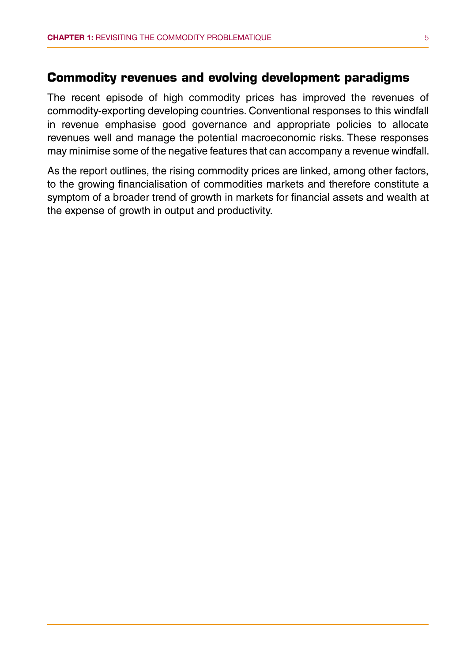#### **Commodity revenues and evolving development paradigms**

The recent episode of high commodity prices has improved the revenues of commodity-exporting developing countries. Conventional responses to this windfall in revenue emphasise good governance and appropriate policies to allocate revenues well and manage the potential macroeconomic risks. These responses may minimise some of the negative features that can accompany a revenue windfall.

As the report outlines, the rising commodity prices are linked, among other factors, to the growing financialisation of commodities markets and therefore constitute a symptom of a broader trend of growth in markets for financial assets and wealth at the expense of growth in output and productivity.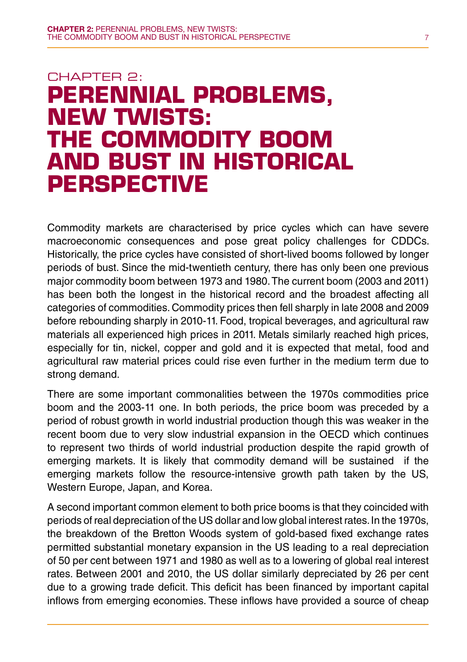## CHAPTER 2: **Perennial problems, new twists: the commodity boom and bust in historical perspective**

Commodity markets are characterised by price cycles which can have severe macroeconomic consequences and pose great policy challenges for CDDCs. Historically, the price cycles have consisted of short-lived booms followed by longer periods of bust. Since the mid-twentieth century, there has only been one previous major commodity boom between 1973 and 1980. The current boom (2003 and 2011) has been both the longest in the historical record and the broadest affecting all categories of commodities. Commodity prices then fell sharply in late 2008 and 2009 before rebounding sharply in 2010-11. Food, tropical beverages, and agricultural raw materials all experienced high prices in 2011. Metals similarly reached high prices, especially for tin, nickel, copper and gold and it is expected that metal, food and agricultural raw material prices could rise even further in the medium term due to strong demand.

There are some important commonalities between the 1970s commodities price boom and the 2003-11 one. In both periods, the price boom was preceded by a period of robust growth in world industrial production though this was weaker in the recent boom due to very slow industrial expansion in the OECD which continues to represent two thirds of world industrial production despite the rapid growth of emerging markets. It is likely that commodity demand will be sustained if the emerging markets follow the resource-intensive growth path taken by the US, Western Europe, Japan, and Korea.

A second important common element to both price booms is that they coincided with periods of real depreciation of the US dollar and low global interest rates. In the 1970s, the breakdown of the Bretton Woods system of gold-based fixed exchange rates permitted substantial monetary expansion in the US leading to a real depreciation of 50 per cent between 1971 and 1980 as well as to a lowering of global real interest rates. Between 2001 and 2010, the US dollar similarly depreciated by 26 per cent due to a growing trade deficit. This deficit has been financed by important capital inflows from emerging economies. These inflows have provided a source of cheap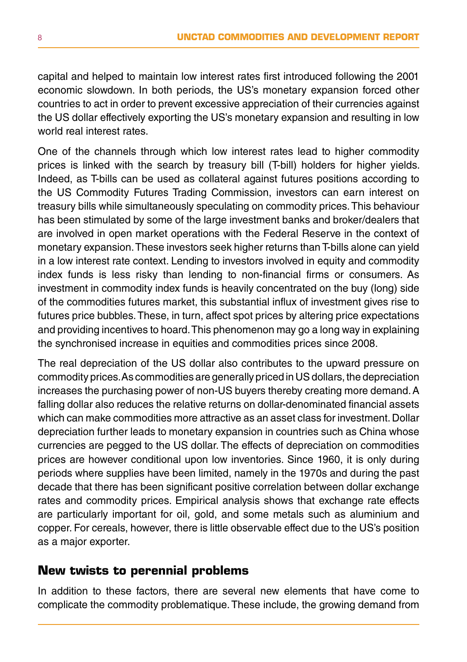capital and helped to maintain low interest rates first introduced following the 2001 economic slowdown. In both periods, the US's monetary expansion forced other countries to act in order to prevent excessive appreciation of their currencies against the US dollar effectively exporting the US's monetary expansion and resulting in low world real interest rates.

One of the channels through which low interest rates lead to higher commodity prices is linked with the search by treasury bill (T-bill) holders for higher yields. Indeed, as T-bills can be used as collateral against futures positions according to the US Commodity Futures Trading Commission, investors can earn interest on treasury bills while simultaneously speculating on commodity prices. This behaviour has been stimulated by some of the large investment banks and broker/dealers that are involved in open market operations with the Federal Reserve in the context of monetary expansion. These investors seek higher returns than T-bills alone can yield in a low interest rate context. Lending to investors involved in equity and commodity index funds is less risky than lending to non-financial firms or consumers. As investment in commodity index funds is heavily concentrated on the buy (long) side of the commodities futures market, this substantial influx of investment gives rise to futures price bubbles. These, in turn, affect spot prices by altering price expectations and providing incentives to hoard. This phenomenon may go a long way in explaining the synchronised increase in equities and commodities prices since 2008.

The real depreciation of the US dollar also contributes to the upward pressure on commodity prices. As commodities are generally priced in US dollars, the depreciation increases the purchasing power of non-US buyers thereby creating more demand. A falling dollar also reduces the relative returns on dollar-denominated financial assets which can make commodities more attractive as an asset class for investment. Dollar depreciation further leads to monetary expansion in countries such as China whose currencies are pegged to the US dollar. The effects of depreciation on commodities prices are however conditional upon low inventories. Since 1960, it is only during periods where supplies have been limited, namely in the 1970s and during the past decade that there has been significant positive correlation between dollar exchange rates and commodity prices. Empirical analysis shows that exchange rate effects are particularly important for oil, gold, and some metals such as aluminium and copper. For cereals, however, there is little observable effect due to the US's position as a major exporter.

#### **New twists to perennial problems**

In addition to these factors, there are several new elements that have come to complicate the commodity problematique. These include, the growing demand from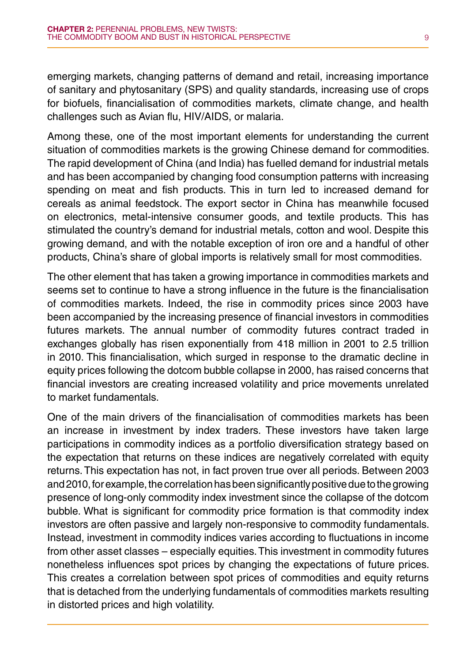emerging markets, changing patterns of demand and retail, increasing importance of sanitary and phytosanitary (SPS) and quality standards, increasing use of crops for biofuels, financialisation of commodities markets, climate change, and health challenges such as Avian flu, HIV/AIDS, or malaria.

Among these, one of the most important elements for understanding the current situation of commodities markets is the growing Chinese demand for commodities. The rapid development of China (and India) has fuelled demand for industrial metals and has been accompanied by changing food consumption patterns with increasing spending on meat and fish products. This in turn led to increased demand for cereals as animal feedstock. The export sector in China has meanwhile focused on electronics, metal-intensive consumer goods, and textile products. This has stimulated the country's demand for industrial metals, cotton and wool. Despite this growing demand, and with the notable exception of iron ore and a handful of other products, China's share of global imports is relatively small for most commodities.

The other element that has taken a growing importance in commodities markets and seems set to continue to have a strong influence in the future is the financialisation of commodities markets. Indeed, the rise in commodity prices since 2003 have been accompanied by the increasing presence of financial investors in commodities futures markets. The annual number of commodity futures contract traded in exchanges globally has risen exponentially from 418 million in 2001 to 2.5 trillion in 2010. This financialisation, which surged in response to the dramatic decline in equity prices following the dotcom bubble collapse in 2000, has raised concerns that financial investors are creating increased volatility and price movements unrelated to market fundamentals.

One of the main drivers of the financialisation of commodities markets has been an increase in investment by index traders. These investors have taken large participations in commodity indices as a portfolio diversification strategy based on the expectation that returns on these indices are negatively correlated with equity returns. This expectation has not, in fact proven true over all periods. Between 2003 and 2010, for example, the correlation has been significantly positive due to the growing presence of long-only commodity index investment since the collapse of the dotcom bubble. What is significant for commodity price formation is that commodity index investors are often passive and largely non-responsive to commodity fundamentals. Instead, investment in commodity indices varies according to fluctuations in income from other asset classes – especially equities. This investment in commodity futures nonetheless influences spot prices by changing the expectations of future prices. This creates a correlation between spot prices of commodities and equity returns that is detached from the underlying fundamentals of commodities markets resulting in distorted prices and high volatility.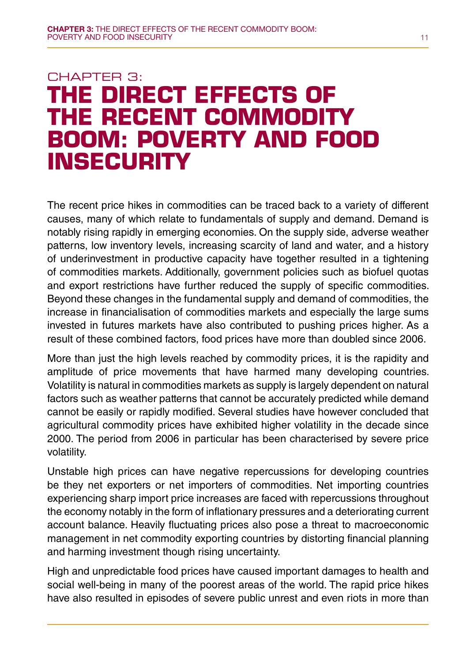## CHAPTER 3: **The direct effects of the recent commodity boom: poverty and food insecurity**

The recent price hikes in commodities can be traced back to a variety of different causes, many of which relate to fundamentals of supply and demand. Demand is notably rising rapidly in emerging economies. On the supply side, adverse weather patterns, low inventory levels, increasing scarcity of land and water, and a history of underinvestment in productive capacity have together resulted in a tightening of commodities markets. Additionally, government policies such as biofuel quotas and export restrictions have further reduced the supply of specific commodities. Beyond these changes in the fundamental supply and demand of commodities, the increase in financialisation of commodities markets and especially the large sums invested in futures markets have also contributed to pushing prices higher. As a result of these combined factors, food prices have more than doubled since 2006.

More than just the high levels reached by commodity prices, it is the rapidity and amplitude of price movements that have harmed many developing countries. Volatility is natural in commodities markets as supply is largely dependent on natural factors such as weather patterns that cannot be accurately predicted while demand cannot be easily or rapidly modified. Several studies have however concluded that agricultural commodity prices have exhibited higher volatility in the decade since 2000. The period from 2006 in particular has been characterised by severe price volatility.

Unstable high prices can have negative repercussions for developing countries be they net exporters or net importers of commodities. Net importing countries experiencing sharp import price increases are faced with repercussions throughout the economy notably in the form of inflationary pressures and a deteriorating current account balance. Heavily fluctuating prices also pose a threat to macroeconomic management in net commodity exporting countries by distorting financial planning and harming investment though rising uncertainty.

High and unpredictable food prices have caused important damages to health and social well-being in many of the poorest areas of the world. The rapid price hikes have also resulted in episodes of severe public unrest and even riots in more than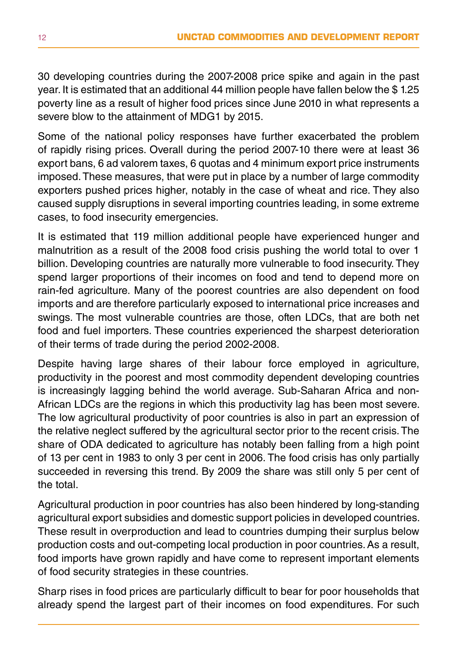30 developing countries during the 2007-2008 price spike and again in the past year. It is estimated that an additional 44 million people have fallen below the \$ 1.25 poverty line as a result of higher food prices since June 2010 in what represents a severe blow to the attainment of MDG1 by 2015.

Some of the national policy responses have further exacerbated the problem of rapidly rising prices. Overall during the period 2007-10 there were at least 36 export bans, 6 ad valorem taxes, 6 quotas and 4 minimum export price instruments imposed. These measures, that were put in place by a number of large commodity exporters pushed prices higher, notably in the case of wheat and rice. They also caused supply disruptions in several importing countries leading, in some extreme cases, to food insecurity emergencies.

It is estimated that 119 million additional people have experienced hunger and malnutrition as a result of the 2008 food crisis pushing the world total to over 1 billion. Developing countries are naturally more vulnerable to food insecurity. They spend larger proportions of their incomes on food and tend to depend more on rain-fed agriculture. Many of the poorest countries are also dependent on food imports and are therefore particularly exposed to international price increases and swings. The most vulnerable countries are those, often LDCs, that are both net food and fuel importers. These countries experienced the sharpest deterioration of their terms of trade during the period 2002-2008.

Despite having large shares of their labour force employed in agriculture, productivity in the poorest and most commodity dependent developing countries is increasingly lagging behind the world average. Sub-Saharan Africa and non-African LDCs are the regions in which this productivity lag has been most severe. The low agricultural productivity of poor countries is also in part an expression of the relative neglect suffered by the agricultural sector prior to the recent crisis. The share of ODA dedicated to agriculture has notably been falling from a high point of 13 per cent in 1983 to only 3 per cent in 2006. The food crisis has only partially succeeded in reversing this trend. By 2009 the share was still only 5 per cent of the total.

Agricultural production in poor countries has also been hindered by long-standing agricultural export subsidies and domestic support policies in developed countries. These result in overproduction and lead to countries dumping their surplus below production costs and out-competing local production in poor countries. As a result, food imports have grown rapidly and have come to represent important elements of food security strategies in these countries.

Sharp rises in food prices are particularly difficult to bear for poor households that already spend the largest part of their incomes on food expenditures. For such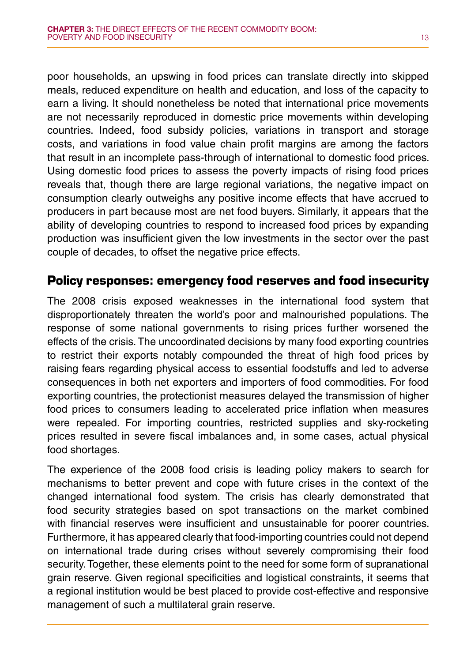poor households, an upswing in food prices can translate directly into skipped meals, reduced expenditure on health and education, and loss of the capacity to earn a living. It should nonetheless be noted that international price movements are not necessarily reproduced in domestic price movements within developing countries. Indeed, food subsidy policies, variations in transport and storage costs, and variations in food value chain profit margins are among the factors that result in an incomplete pass-through of international to domestic food prices. Using domestic food prices to assess the poverty impacts of rising food prices reveals that, though there are large regional variations, the negative impact on consumption clearly outweighs any positive income effects that have accrued to producers in part because most are net food buyers. Similarly, it appears that the ability of developing countries to respond to increased food prices by expanding production was insufficient given the low investments in the sector over the past couple of decades, to offset the negative price effects.

#### **Policy responses: emergency food reserves and food insecurity**

The 2008 crisis exposed weaknesses in the international food system that disproportionately threaten the world's poor and malnourished populations. The response of some national governments to rising prices further worsened the effects of the crisis. The uncoordinated decisions by many food exporting countries to restrict their exports notably compounded the threat of high food prices by raising fears regarding physical access to essential foodstuffs and led to adverse consequences in both net exporters and importers of food commodities. For food exporting countries, the protectionist measures delayed the transmission of higher food prices to consumers leading to accelerated price inflation when measures were repealed. For importing countries, restricted supplies and sky-rocketing prices resulted in severe fiscal imbalances and, in some cases, actual physical food shortages.

The experience of the 2008 food crisis is leading policy makers to search for mechanisms to better prevent and cope with future crises in the context of the changed international food system. The crisis has clearly demonstrated that food security strategies based on spot transactions on the market combined with financial reserves were insufficient and unsustainable for poorer countries. Furthermore, it has appeared clearly that food-importing countries could not depend on international trade during crises without severely compromising their food security. Together, these elements point to the need for some form of supranational grain reserve. Given regional specificities and logistical constraints, it seems that a regional institution would be best placed to provide cost-effective and responsive management of such a multilateral grain reserve.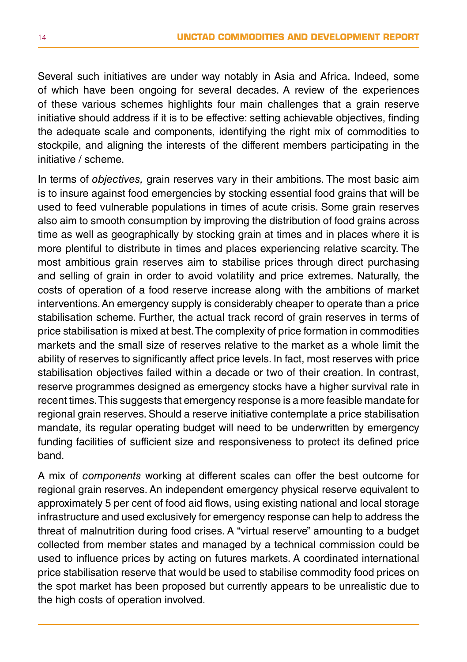Several such initiatives are under way notably in Asia and Africa. Indeed, some of which have been ongoing for several decades. A review of the experiences of these various schemes highlights four main challenges that a grain reserve initiative should address if it is to be effective: setting achievable objectives, finding the adequate scale and components, identifying the right mix of commodities to stockpile, and aligning the interests of the different members participating in the initiative / scheme.

In terms of *objectives,* grain reserves vary in their ambitions. The most basic aim is to insure against food emergencies by stocking essential food grains that will be used to feed vulnerable populations in times of acute crisis. Some grain reserves also aim to smooth consumption by improving the distribution of food grains across time as well as geographically by stocking grain at times and in places where it is more plentiful to distribute in times and places experiencing relative scarcity. The most ambitious grain reserves aim to stabilise prices through direct purchasing and selling of grain in order to avoid volatility and price extremes. Naturally, the costs of operation of a food reserve increase along with the ambitions of market interventions. An emergency supply is considerably cheaper to operate than a price stabilisation scheme. Further, the actual track record of grain reserves in terms of price stabilisation is mixed at best. The complexity of price formation in commodities markets and the small size of reserves relative to the market as a whole limit the ability of reserves to significantly affect price levels. In fact, most reserves with price stabilisation objectives failed within a decade or two of their creation. In contrast, reserve programmes designed as emergency stocks have a higher survival rate in recent times. This suggests that emergency response is a more feasible mandate for regional grain reserves. Should a reserve initiative contemplate a price stabilisation mandate, its regular operating budget will need to be underwritten by emergency funding facilities of sufficient size and responsiveness to protect its defined price band.

A mix of *components* working at different scales can offer the best outcome for regional grain reserves. An independent emergency physical reserve equivalent to approximately 5 per cent of food aid flows, using existing national and local storage infrastructure and used exclusively for emergency response can help to address the threat of malnutrition during food crises. A "virtual reserve" amounting to a budget collected from member states and managed by a technical commission could be used to influence prices by acting on futures markets. A coordinated international price stabilisation reserve that would be used to stabilise commodity food prices on the spot market has been proposed but currently appears to be unrealistic due to the high costs of operation involved.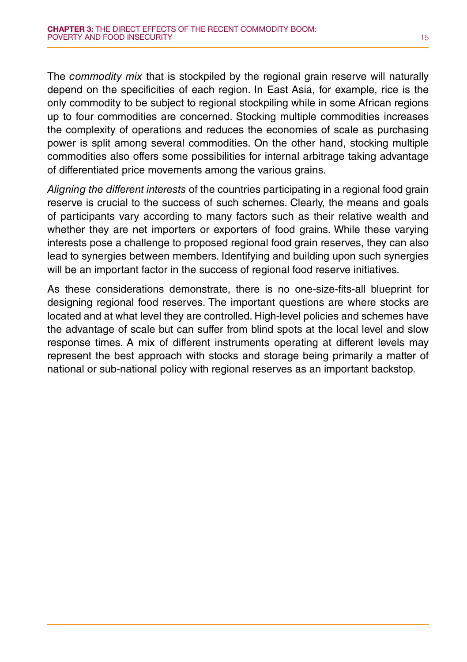The *commodity mix* that is stockpiled by the regional grain reserve will naturally depend on the specificities of each region. In East Asia, for example, rice is the only commodity to be subject to regional stockpiling while in some African regions up to four commodities are concerned. Stocking multiple commodities increases the complexity of operations and reduces the economies of scale as purchasing power is split among several commodities. On the other hand, stocking multiple commodities also offers some possibilities for internal arbitrage taking advantage of differentiated price movements among the various grains.

*Aligning the different interests* of the countries participating in a regional food grain reserve is crucial to the success of such schemes. Clearly, the means and goals of participants vary according to many factors such as their relative wealth and whether they are net importers or exporters of food grains. While these varying interests pose a challenge to proposed regional food grain reserves, they can also lead to synergies between members. Identifying and building upon such synergies will be an important factor in the success of regional food reserve initiatives.

As these considerations demonstrate, there is no one-size-fits-all blueprint for designing regional food reserves. The important questions are where stocks are located and at what level they are controlled. High-level policies and schemes have the advantage of scale but can suffer from blind spots at the local level and slow response times. A mix of different instruments operating at different levels may represent the best approach with stocks and storage being primarily a matter of national or sub-national policy with regional reserves as an important backstop.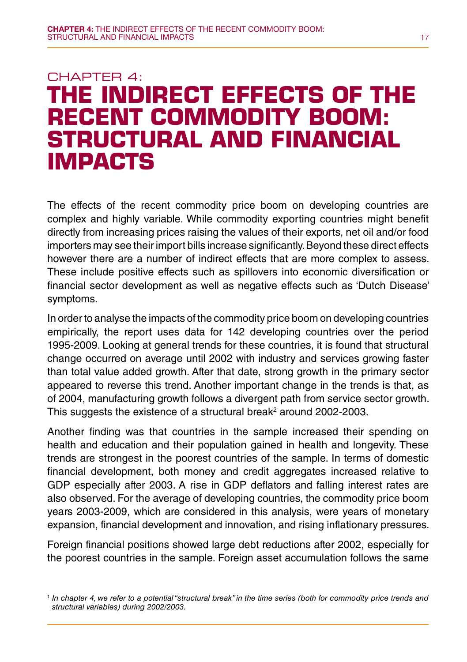## Chapter 4: **The indirect effects of the recent commodity boom: Structural and financial impacts**

The effects of the recent commodity price boom on developing countries are complex and highly variable. While commodity exporting countries might benefit directly from increasing prices raising the values of their exports, net oil and/or food importers may see their import bills increase significantly. Beyond these direct effects however there are a number of indirect effects that are more complex to assess. These include positive effects such as spillovers into economic diversification or financial sector development as well as negative effects such as 'Dutch Disease' symptoms.

In order to analyse the impacts of the commodity price boom on developing countries empirically, the report uses data for 142 developing countries over the period 1995-2009. Looking at general trends for these countries, it is found that structural change occurred on average until 2002 with industry and services growing faster than total value added growth. After that date, strong growth in the primary sector appeared to reverse this trend. Another important change in the trends is that, as of 2004, manufacturing growth follows a divergent path from service sector growth. This suggests the existence of a structural break<sup>2</sup> around 2002-2003.

Another finding was that countries in the sample increased their spending on health and education and their population gained in health and longevity. These trends are strongest in the poorest countries of the sample. In terms of domestic financial development, both money and credit aggregates increased relative to GDP especially after 2003. A rise in GDP deflators and falling interest rates are also observed. For the average of developing countries, the commodity price boom years 2003-2009, which are considered in this analysis, were years of monetary expansion, financial development and innovation, and rising inflationary pressures.

Foreign financial positions showed large debt reductions after 2002, especially for the poorest countries in the sample. Foreign asset accumulation follows the same

*<sup>1</sup> In chapter 4, we refer to a potential "structural break" in the time series (both for commodity price trends and structural variables) during 2002/2003.*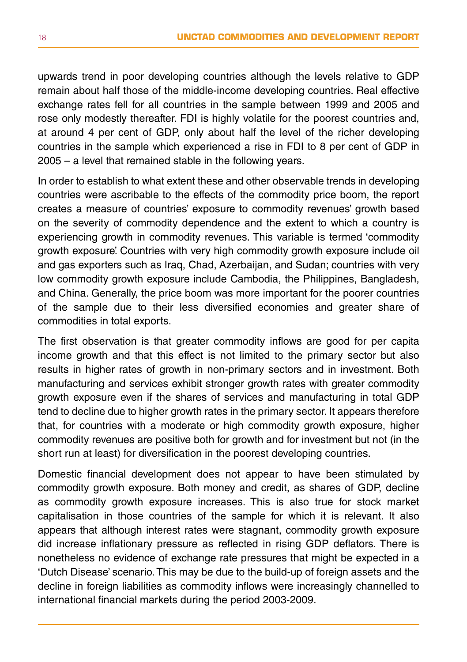upwards trend in poor developing countries although the levels relative to GDP remain about half those of the middle-income developing countries. Real effective exchange rates fell for all countries in the sample between 1999 and 2005 and rose only modestly thereafter. FDI is highly volatile for the poorest countries and, at around 4 per cent of GDP, only about half the level of the richer developing countries in the sample which experienced a rise in FDI to 8 per cent of GDP in 2005 – a level that remained stable in the following years.

In order to establish to what extent these and other observable trends in developing countries were ascribable to the effects of the commodity price boom, the report creates a measure of countries' exposure to commodity revenues' growth based on the severity of commodity dependence and the extent to which a country is experiencing growth in commodity revenues. This variable is termed 'commodity growth exposure'. Countries with very high commodity growth exposure include oil and gas exporters such as Iraq, Chad, Azerbaijan, and Sudan; countries with very low commodity growth exposure include Cambodia, the Philippines, Bangladesh, and China. Generally, the price boom was more important for the poorer countries of the sample due to their less diversified economies and greater share of commodities in total exports.

The first observation is that greater commodity inflows are good for per capita income growth and that this effect is not limited to the primary sector but also results in higher rates of growth in non-primary sectors and in investment. Both manufacturing and services exhibit stronger growth rates with greater commodity growth exposure even if the shares of services and manufacturing in total GDP tend to decline due to higher growth rates in the primary sector. It appears therefore that, for countries with a moderate or high commodity growth exposure, higher commodity revenues are positive both for growth and for investment but not (in the short run at least) for diversification in the poorest developing countries.

Domestic financial development does not appear to have been stimulated by commodity growth exposure. Both money and credit, as shares of GDP, decline as commodity growth exposure increases. This is also true for stock market capitalisation in those countries of the sample for which it is relevant. It also appears that although interest rates were stagnant, commodity growth exposure did increase inflationary pressure as reflected in rising GDP deflators. There is nonetheless no evidence of exchange rate pressures that might be expected in a 'Dutch Disease' scenario. This may be due to the build-up of foreign assets and the decline in foreign liabilities as commodity inflows were increasingly channelled to international financial markets during the period 2003-2009.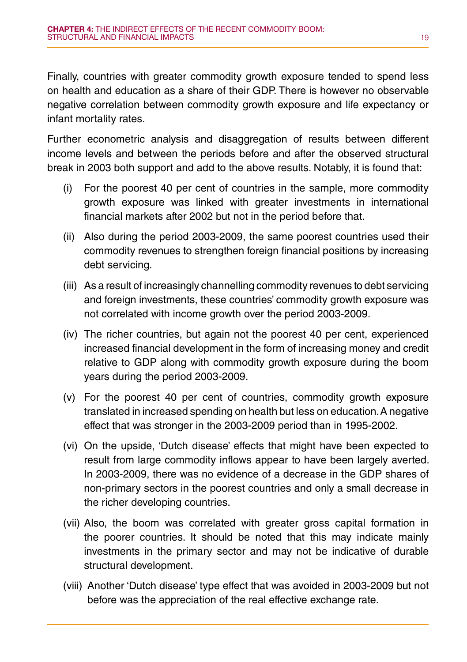Finally, countries with greater commodity growth exposure tended to spend less on health and education as a share of their GDP. There is however no observable negative correlation between commodity growth exposure and life expectancy or infant mortality rates.

Further econometric analysis and disaggregation of results between different income levels and between the periods before and after the observed structural break in 2003 both support and add to the above results. Notably, it is found that:

- (i) For the poorest 40 per cent of countries in the sample, more commodity growth exposure was linked with greater investments in international financial markets after 2002 but not in the period before that.
- (ii) Also during the period 2003-2009, the same poorest countries used their commodity revenues to strengthen foreign financial positions by increasing debt servicing.
- (iii) As a result of increasingly channelling commodity revenues to debt servicing and foreign investments, these countries' commodity growth exposure was not correlated with income growth over the period 2003-2009.
- (iv) The richer countries, but again not the poorest 40 per cent, experienced increased financial development in the form of increasing money and credit relative to GDP along with commodity growth exposure during the boom years during the period 2003-2009.
- (v) For the poorest 40 per cent of countries, commodity growth exposure translated in increased spending on health but less on education. A negative effect that was stronger in the 2003-2009 period than in 1995-2002.
- (vi) On the upside, 'Dutch disease' effects that might have been expected to result from large commodity inflows appear to have been largely averted. In 2003-2009, there was no evidence of a decrease in the GDP shares of non-primary sectors in the poorest countries and only a small decrease in the richer developing countries.
- (vii) Also, the boom was correlated with greater gross capital formation in the poorer countries. It should be noted that this may indicate mainly investments in the primary sector and may not be indicative of durable structural development.
- (viii) Another 'Dutch disease' type effect that was avoided in 2003-2009 but not before was the appreciation of the real effective exchange rate.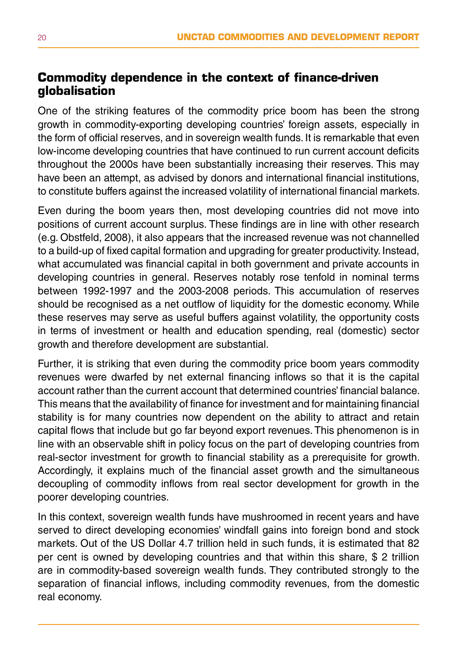#### **Commodity dependence in the context of finance-driven globalisation**

One of the striking features of the commodity price boom has been the strong growth in commodity-exporting developing countries' foreign assets, especially in the form of official reserves, and in sovereign wealth funds. It is remarkable that even low-income developing countries that have continued to run current account deficits throughout the 2000s have been substantially increasing their reserves. This may have been an attempt, as advised by donors and international financial institutions, to constitute buffers against the increased volatility of international financial markets.

Even during the boom years then, most developing countries did not move into positions of current account surplus. These findings are in line with other research (e.g. Obstfeld, 2008), it also appears that the increased revenue was not channelled to a build-up of fixed capital formation and upgrading for greater productivity. Instead, what accumulated was financial capital in both government and private accounts in developing countries in general. Reserves notably rose tenfold in nominal terms between 1992-1997 and the 2003-2008 periods. This accumulation of reserves should be recognised as a net outflow of liquidity for the domestic economy. While these reserves may serve as useful buffers against volatility, the opportunity costs in terms of investment or health and education spending, real (domestic) sector growth and therefore development are substantial.

Further, it is striking that even during the commodity price boom years commodity revenues were dwarfed by net external financing inflows so that it is the capital account rather than the current account that determined countries' financial balance. This means that the availability of finance for investment and for maintaining financial stability is for many countries now dependent on the ability to attract and retain capital flows that include but go far beyond export revenues. This phenomenon is in line with an observable shift in policy focus on the part of developing countries from real-sector investment for growth to financial stability as a prerequisite for growth. Accordingly, it explains much of the financial asset growth and the simultaneous decoupling of commodity inflows from real sector development for growth in the poorer developing countries.

In this context, sovereign wealth funds have mushroomed in recent years and have served to direct developing economies' windfall gains into foreign bond and stock markets. Out of the US Dollar 4.7 trillion held in such funds, it is estimated that 82 per cent is owned by developing countries and that within this share, \$ 2 trillion are in commodity-based sovereign wealth funds. They contributed strongly to the separation of financial inflows, including commodity revenues, from the domestic real economy.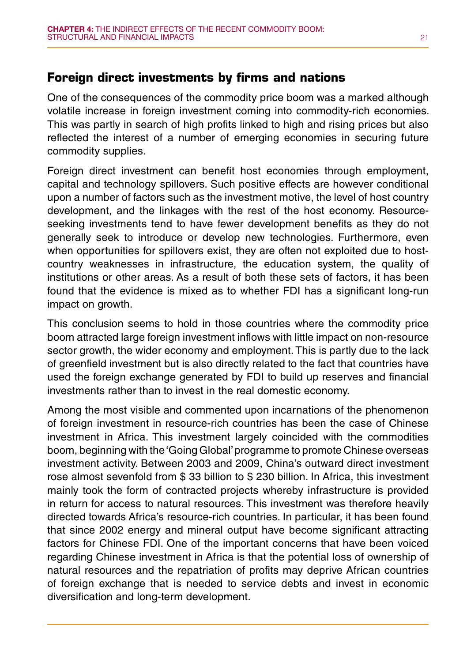#### **Foreign direct investments by firms and nations**

One of the consequences of the commodity price boom was a marked although volatile increase in foreign investment coming into commodity-rich economies. This was partly in search of high profits linked to high and rising prices but also reflected the interest of a number of emerging economies in securing future commodity supplies.

Foreign direct investment can benefit host economies through employment, capital and technology spillovers. Such positive effects are however conditional upon a number of factors such as the investment motive, the level of host country development, and the linkages with the rest of the host economy. Resourceseeking investments tend to have fewer development benefits as they do not generally seek to introduce or develop new technologies. Furthermore, even when opportunities for spillovers exist, they are often not exploited due to hostcountry weaknesses in infrastructure, the education system, the quality of institutions or other areas. As a result of both these sets of factors, it has been found that the evidence is mixed as to whether FDI has a significant long-run impact on growth.

This conclusion seems to hold in those countries where the commodity price boom attracted large foreign investment inflows with little impact on non-resource sector growth, the wider economy and employment. This is partly due to the lack of greenfield investment but is also directly related to the fact that countries have used the foreign exchange generated by FDI to build up reserves and financial investments rather than to invest in the real domestic economy.

Among the most visible and commented upon incarnations of the phenomenon of foreign investment in resource-rich countries has been the case of Chinese investment in Africa. This investment largely coincided with the commodities boom, beginning with the 'Going Global' programme to promote Chinese overseas investment activity. Between 2003 and 2009, China's outward direct investment rose almost sevenfold from \$ 33 billion to \$ 230 billion. In Africa, this investment mainly took the form of contracted projects whereby infrastructure is provided in return for access to natural resources. This investment was therefore heavily directed towards Africa's resource-rich countries. In particular, it has been found that since 2002 energy and mineral output have become significant attracting factors for Chinese FDI. One of the important concerns that have been voiced regarding Chinese investment in Africa is that the potential loss of ownership of natural resources and the repatriation of profits may deprive African countries of foreign exchange that is needed to service debts and invest in economic diversification and long-term development.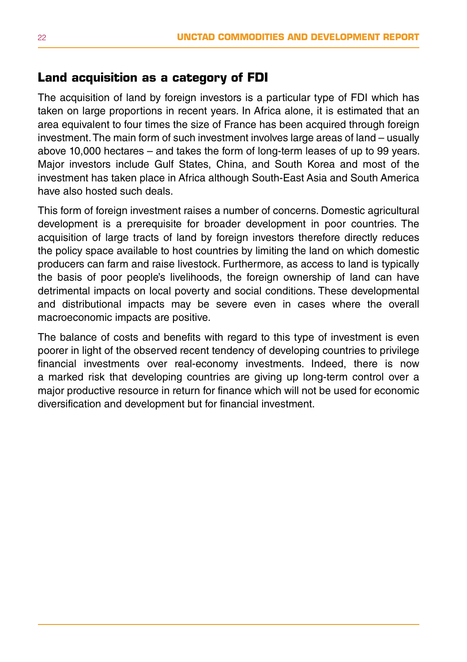#### **Land acquisition as a category of FDI**

The acquisition of land by foreign investors is a particular type of FDI which has taken on large proportions in recent years. In Africa alone, it is estimated that an area equivalent to four times the size of France has been acquired through foreign investment. The main form of such investment involves large areas of land – usually above 10,000 hectares – and takes the form of long-term leases of up to 99 years. Major investors include Gulf States, China, and South Korea and most of the investment has taken place in Africa although South-East Asia and South America have also hosted such deals.

This form of foreign investment raises a number of concerns. Domestic agricultural development is a prerequisite for broader development in poor countries. The acquisition of large tracts of land by foreign investors therefore directly reduces the policy space available to host countries by limiting the land on which domestic producers can farm and raise livestock. Furthermore, as access to land is typically the basis of poor people's livelihoods, the foreign ownership of land can have detrimental impacts on local poverty and social conditions. These developmental and distributional impacts may be severe even in cases where the overall macroeconomic impacts are positive.

The balance of costs and benefits with regard to this type of investment is even poorer in light of the observed recent tendency of developing countries to privilege financial investments over real-economy investments. Indeed, there is now a marked risk that developing countries are giving up long-term control over a major productive resource in return for finance which will not be used for economic diversification and development but for financial investment.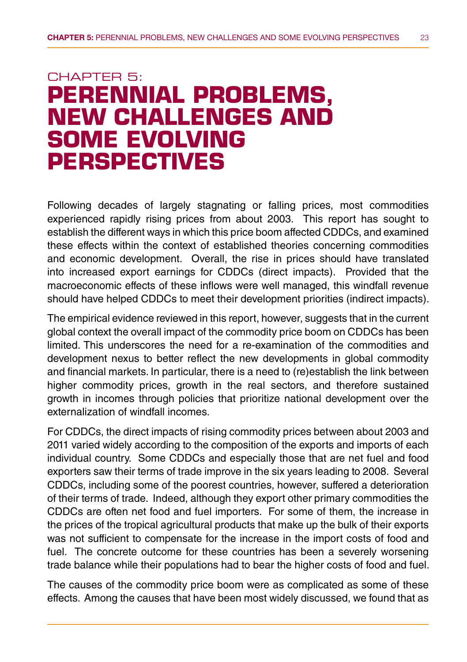## CHAPTER 5: **Perennial problems, new challenges and some evolving perspectives**

Following decades of largely stagnating or falling prices, most commodities experienced rapidly rising prices from about 2003. This report has sought to establish the different ways in which this price boom affected CDDCs, and examined these effects within the context of established theories concerning commodities and economic development. Overall, the rise in prices should have translated into increased export earnings for CDDCs (direct impacts). Provided that the macroeconomic effects of these inflows were well managed, this windfall revenue should have helped CDDCs to meet their development priorities (indirect impacts).

The empirical evidence reviewed in this report, however, suggests that in the current global context the overall impact of the commodity price boom on CDDCs has been limited. This underscores the need for a re-examination of the commodities and development nexus to better reflect the new developments in global commodity and financial markets. In particular, there is a need to (re)establish the link between higher commodity prices, growth in the real sectors, and therefore sustained growth in incomes through policies that prioritize national development over the externalization of windfall incomes.

For CDDCs, the direct impacts of rising commodity prices between about 2003 and 2011 varied widely according to the composition of the exports and imports of each individual country. Some CDDCs and especially those that are net fuel and food exporters saw their terms of trade improve in the six years leading to 2008. Several CDDCs, including some of the poorest countries, however, suffered a deterioration of their terms of trade. Indeed, although they export other primary commodities the CDDCs are often net food and fuel importers. For some of them, the increase in the prices of the tropical agricultural products that make up the bulk of their exports was not sufficient to compensate for the increase in the import costs of food and fuel. The concrete outcome for these countries has been a severely worsening trade balance while their populations had to bear the higher costs of food and fuel.

The causes of the commodity price boom were as complicated as some of these effects. Among the causes that have been most widely discussed, we found that as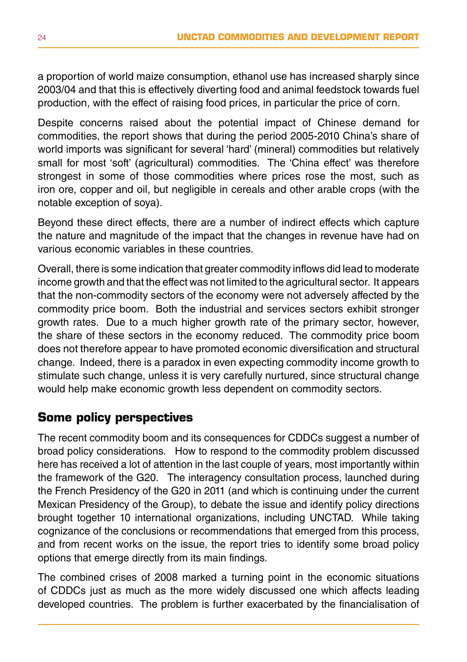a proportion of world maize consumption, ethanol use has increased sharply since 2003/04 and that this is effectively diverting food and animal feedstock towards fuel production, with the effect of raising food prices, in particular the price of corn.

Despite concerns raised about the potential impact of Chinese demand for commodities, the report shows that during the period 2005-2010 China's share of world imports was significant for several 'hard' (mineral) commodities but relatively small for most 'soft' (agricultural) commodities. The 'China effect' was therefore strongest in some of those commodities where prices rose the most, such as iron ore, copper and oil, but negligible in cereals and other arable crops (with the notable exception of soya).

Beyond these direct effects, there are a number of indirect effects which capture the nature and magnitude of the impact that the changes in revenue have had on various economic variables in these countries.

Overall, there is some indication that greater commodity inflows did lead to moderate income growth and that the effect was not limited to the agricultural sector. It appears that the non-commodity sectors of the economy were not adversely affected by the commodity price boom. Both the industrial and services sectors exhibit stronger growth rates. Due to a much higher growth rate of the primary sector, however, the share of these sectors in the economy reduced. The commodity price boom does not therefore appear to have promoted economic diversification and structural change. Indeed, there is a paradox in even expecting commodity income growth to stimulate such change, unless it is very carefully nurtured, since structural change would help make economic growth less dependent on commodity sectors.

#### **Some policy perspectives**

The recent commodity boom and its consequences for CDDCs suggest a number of broad policy considerations. How to respond to the commodity problem discussed here has received a lot of attention in the last couple of years, most importantly within the framework of the G20. The interagency consultation process, launched during the French Presidency of the G20 in 2011 (and which is continuing under the current Mexican Presidency of the Group), to debate the issue and identify policy directions brought together 10 international organizations, including UNCTAD. While taking cognizance of the conclusions or recommendations that emerged from this process, and from recent works on the issue, the report tries to identify some broad policy options that emerge directly from its main findings.

The combined crises of 2008 marked a turning point in the economic situations of CDDCs just as much as the more widely discussed one which affects leading developed countries. The problem is further exacerbated by the financialisation of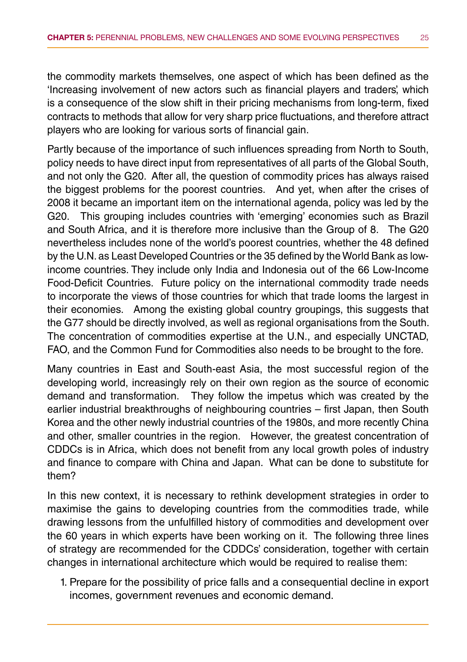the commodity markets themselves, one aspect of which has been defined as the 'Increasing involvement of new actors such as financial players and traders', which is a consequence of the slow shift in their pricing mechanisms from long-term, fixed contracts to methods that allow for very sharp price fluctuations, and therefore attract players who are looking for various sorts of financial gain.

Partly because of the importance of such influences spreading from North to South, policy needs to have direct input from representatives of all parts of the Global South, and not only the G20. After all, the question of commodity prices has always raised the biggest problems for the poorest countries. And yet, when after the crises of 2008 it became an important item on the international agenda, policy was led by the G20. This grouping includes countries with 'emerging' economies such as Brazil and South Africa, and it is therefore more inclusive than the Group of 8. The G20 nevertheless includes none of the world's poorest countries, whether the 48 defined by the U.N. as Least Developed Countries or the 35 defined by the World Bank as lowincome countries. They include only India and Indonesia out of the 66 Low-Income Food-Deficit Countries. Future policy on the international commodity trade needs to incorporate the views of those countries for which that trade looms the largest in their economies. Among the existing global country groupings, this suggests that the G77 should be directly involved, as well as regional organisations from the South. The concentration of commodities expertise at the U.N., and especially UNCTAD, FAO, and the Common Fund for Commodities also needs to be brought to the fore.

Many countries in East and South-east Asia, the most successful region of the developing world, increasingly rely on their own region as the source of economic demand and transformation. They follow the impetus which was created by the earlier industrial breakthroughs of neighbouring countries – first Japan, then South Korea and the other newly industrial countries of the 1980s, and more recently China and other, smaller countries in the region. However, the greatest concentration of CDDCs is in Africa, which does not benefit from any local growth poles of industry and finance to compare with China and Japan. What can be done to substitute for them?

In this new context, it is necessary to rethink development strategies in order to maximise the gains to developing countries from the commodities trade, while drawing lessons from the unfulfilled history of commodities and development over the 60 years in which experts have been working on it. The following three lines of strategy are recommended for the CDDCs' consideration, together with certain changes in international architecture which would be required to realise them:

1. Prepare for the possibility of price falls and a consequential decline in export incomes, government revenues and economic demand.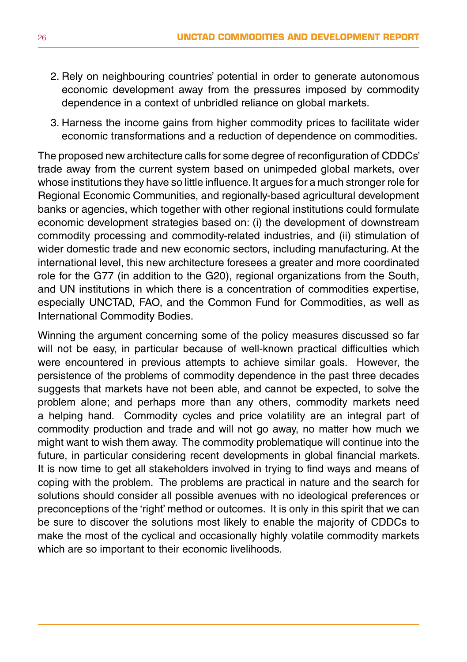- 2. Rely on neighbouring countries' potential in order to generate autonomous economic development away from the pressures imposed by commodity dependence in a context of unbridled reliance on global markets.
- 3. Harness the income gains from higher commodity prices to facilitate wider economic transformations and a reduction of dependence on commodities.

The proposed new architecture calls for some degree of reconfiguration of CDDCs' trade away from the current system based on unimpeded global markets, over whose institutions they have so little influence. It argues for a much stronger role for Regional Economic Communities, and regionally-based agricultural development banks or agencies, which together with other regional institutions could formulate economic development strategies based on: (i) the development of downstream commodity processing and commodity-related industries, and (ii) stimulation of wider domestic trade and new economic sectors, including manufacturing. At the international level, this new architecture foresees a greater and more coordinated role for the G77 (in addition to the G20), regional organizations from the South, and UN institutions in which there is a concentration of commodities expertise, especially UNCTAD, FAO, and the Common Fund for Commodities, as well as International Commodity Bodies.

Winning the argument concerning some of the policy measures discussed so far will not be easy, in particular because of well-known practical difficulties which were encountered in previous attempts to achieve similar goals. However, the persistence of the problems of commodity dependence in the past three decades suggests that markets have not been able, and cannot be expected, to solve the problem alone; and perhaps more than any others, commodity markets need a helping hand. Commodity cycles and price volatility are an integral part of commodity production and trade and will not go away, no matter how much we might want to wish them away. The commodity problematique will continue into the future, in particular considering recent developments in global financial markets. It is now time to get all stakeholders involved in trying to find ways and means of coping with the problem. The problems are practical in nature and the search for solutions should consider all possible avenues with no ideological preferences or preconceptions of the 'right' method or outcomes. It is only in this spirit that we can be sure to discover the solutions most likely to enable the majority of CDDCs to make the most of the cyclical and occasionally highly volatile commodity markets which are so important to their economic livelihoods.